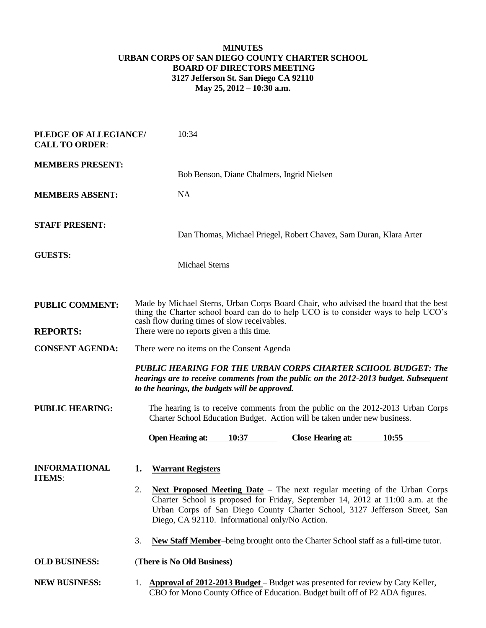## **MINUTES URBAN CORPS OF SAN DIEGO COUNTY CHARTER SCHOOL BOARD OF DIRECTORS MEETING 3127 Jefferson St. San Diego CA 92110 May 25, 2012 – 10:30 a.m.**

| PLEDGE OF ALLEGIANCE/<br><b>CALL TO ORDER:</b> | 10:34                                                                                                                                                                                                                                                                                                   |
|------------------------------------------------|---------------------------------------------------------------------------------------------------------------------------------------------------------------------------------------------------------------------------------------------------------------------------------------------------------|
| <b>MEMBERS PRESENT:</b>                        | Bob Benson, Diane Chalmers, Ingrid Nielsen                                                                                                                                                                                                                                                              |
| <b>MEMBERS ABSENT:</b>                         | <b>NA</b>                                                                                                                                                                                                                                                                                               |
| <b>STAFF PRESENT:</b>                          | Dan Thomas, Michael Priegel, Robert Chavez, Sam Duran, Klara Arter                                                                                                                                                                                                                                      |
| <b>GUESTS:</b>                                 | <b>Michael Sterns</b>                                                                                                                                                                                                                                                                                   |
|                                                |                                                                                                                                                                                                                                                                                                         |
| <b>PUBLIC COMMENT:</b>                         | Made by Michael Sterns, Urban Corps Board Chair, who advised the board that the best<br>thing the Charter school board can do to help UCO is to consider ways to help UCO's<br>cash flow during times of slow receivables.                                                                              |
| <b>REPORTS:</b>                                | There were no reports given a this time.                                                                                                                                                                                                                                                                |
| <b>CONSENT AGENDA:</b>                         | There were no items on the Consent Agenda                                                                                                                                                                                                                                                               |
|                                                | PUBLIC HEARING FOR THE URBAN CORPS CHARTER SCHOOL BUDGET: The<br>hearings are to receive comments from the public on the 2012-2013 budget. Subsequent<br>to the hearings, the budgets will be approved.                                                                                                 |
| <b>PUBLIC HEARING:</b>                         | The hearing is to receive comments from the public on the 2012-2013 Urban Corps<br>Charter School Education Budget. Action will be taken under new business.                                                                                                                                            |
|                                                | 10:37<br><b>Open Hearing at:</b><br><b>Close Hearing at:</b><br>10:55                                                                                                                                                                                                                                   |
| <b>INFORMATIONAL</b><br><b>ITEMS:</b>          | <b>Warrant Registers</b><br>1.                                                                                                                                                                                                                                                                          |
|                                                |                                                                                                                                                                                                                                                                                                         |
|                                                | 2.<br><b>Next Proposed Meeting Date</b> – The next regular meeting of the Urban Corps<br>Charter School is proposed for Friday, September 14, 2012 at 11:00 a.m. at the<br>Urban Corps of San Diego County Charter School, 3127 Jefferson Street, San<br>Diego, CA 92110. Informational only/No Action. |
|                                                | 3.<br>New Staff Member-being brought onto the Charter School staff as a full-time tutor.                                                                                                                                                                                                                |
| <b>OLD BUSINESS:</b>                           | (There is No Old Business)                                                                                                                                                                                                                                                                              |